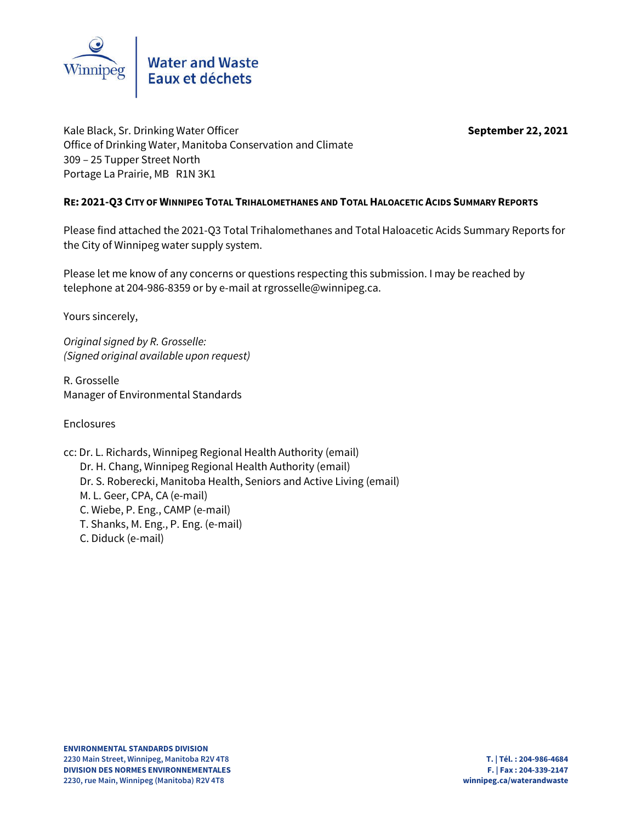

Kale Black, Sr. Drinking Water Officer **September 22, 2021** Office of Drinking Water, Manitoba Conservation and Climate 309 – 25 Tupper Street North Portage La Prairie, MB R1N 3K1

#### **RE: 2021-Q3 CITY OF WINNIPEG TOTAL TRIHALOMETHANES AND TOTAL HALOACETIC ACIDS SUMMARY REPORTS**

Please find attached the 2021-Q3 Total Trihalomethanes and Total Haloacetic Acids Summary Reports for the City of Winnipeg water supply system.

Please let me know of any concerns or questions respecting this submission. I may be reached by telephone at 204-986-8359 or by e-mail at rgrosselle@winnipeg.ca.

Yours sincerely,

*Original signed by R. Grosselle: (Signed original available upon request)*

R. Grosselle Manager of Environmental Standards

Enclosures

cc: Dr. L. Richards, Winnipeg Regional Health Authority (email) Dr. H. Chang, Winnipeg Regional Health Authority (email) Dr. S. Roberecki, Manitoba Health, Seniors and Active Living (email) M. L. Geer, CPA, CA (e-mail) C. Wiebe, P. Eng., CAMP (e-mail) T. Shanks, M. Eng., P. Eng. (e-mail) C. Diduck (e-mail)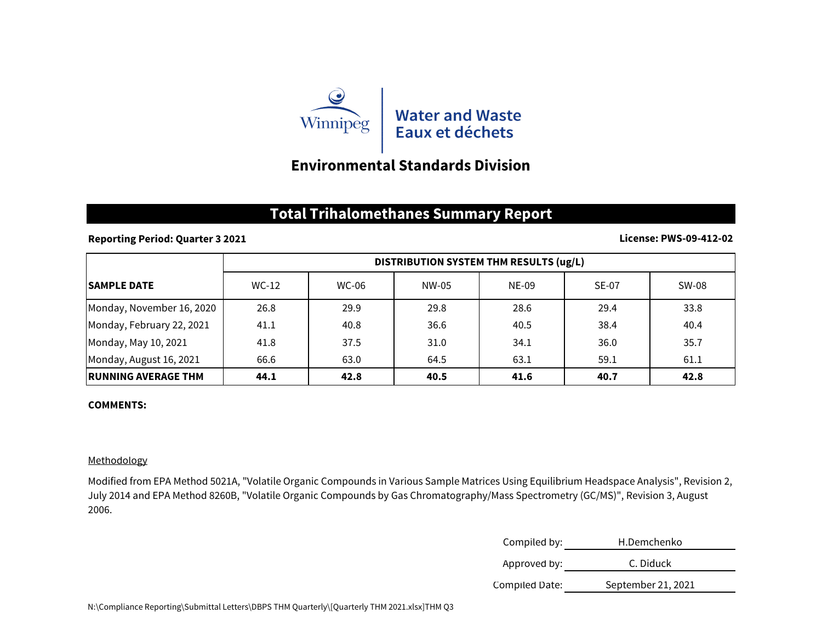

# **Environmental Standards Division**

### **Total Trihalomethanes Summary Report**

#### **Reporting Period: Quarter 3 2021**

#### **License: PWS-09-412-02**

|                             | DISTRIBUTION SYSTEM THM RESULTS (ug/L) |              |       |       |              |       |
|-----------------------------|----------------------------------------|--------------|-------|-------|--------------|-------|
| <b>SAMPLE DATE</b>          | $WC-12$                                | <b>WC-06</b> | NW-05 | NE-09 | <b>SE-07</b> | SW-08 |
| Monday, November 16, 2020   | 26.8                                   | 29.9         | 29.8  | 28.6  | 29.4         | 33.8  |
| Monday, February 22, 2021   | 41.1                                   | 40.8         | 36.6  | 40.5  | 38.4         | 40.4  |
| Monday, May 10, 2021        | 41.8                                   | 37.5         | 31.0  | 34.1  | 36.0         | 35.7  |
| Monday, August 16, 2021     | 66.6                                   | 63.0         | 64.5  | 63.1  | 59.1         | 61.1  |
| <b>IRUNNING AVERAGE THM</b> | 44.1                                   | 42.8         | 40.5  | 41.6  | 40.7         | 42.8  |

#### **COMMENTS:**

#### Methodology

Modified from EPA Method 5021A, "Volatile Organic Compounds in Various Sample Matrices Using Equilibrium Headspace Analysis", Revision 2, July 2014 and EPA Method 8260B, "Volatile Organic Compounds by Gas Chromatography/Mass Spectrometry (GC/MS)", Revision 3, August 2006.

| Compiled by:   | H.Demchenko        |  |  |  |
|----------------|--------------------|--|--|--|
| Approved by:   | C. Diduck          |  |  |  |
| Compiled Date: | September 21, 2021 |  |  |  |